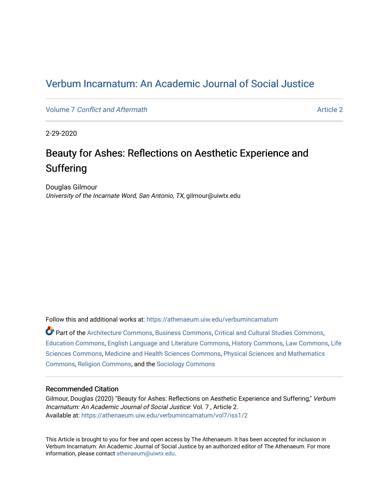## [Verbum Incarnatum: An Academic Journal of Social Justice](https://athenaeum.uiw.edu/verbumincarnatum)

Volume 7 [Conflict and Aftermath](https://athenaeum.uiw.edu/verbumincarnatum/vol7) Article 2

2-29-2020

# Beauty for Ashes: Reflections on Aesthetic Experience and Suffering

Douglas Gilmour University of the Incarnate Word, San Antonio, TX, gilmour@uiwtx.edu

Follow this and additional works at: [https://athenaeum.uiw.edu/verbumincarnatum](https://athenaeum.uiw.edu/verbumincarnatum?utm_source=athenaeum.uiw.edu%2Fverbumincarnatum%2Fvol7%2Fiss1%2F2&utm_medium=PDF&utm_campaign=PDFCoverPages) 

Part of the [Architecture Commons,](http://network.bepress.com/hgg/discipline/773?utm_source=athenaeum.uiw.edu%2Fverbumincarnatum%2Fvol7%2Fiss1%2F2&utm_medium=PDF&utm_campaign=PDFCoverPages) [Business Commons](http://network.bepress.com/hgg/discipline/622?utm_source=athenaeum.uiw.edu%2Fverbumincarnatum%2Fvol7%2Fiss1%2F2&utm_medium=PDF&utm_campaign=PDFCoverPages), [Critical and Cultural Studies Commons](http://network.bepress.com/hgg/discipline/328?utm_source=athenaeum.uiw.edu%2Fverbumincarnatum%2Fvol7%2Fiss1%2F2&utm_medium=PDF&utm_campaign=PDFCoverPages), [Education Commons,](http://network.bepress.com/hgg/discipline/784?utm_source=athenaeum.uiw.edu%2Fverbumincarnatum%2Fvol7%2Fiss1%2F2&utm_medium=PDF&utm_campaign=PDFCoverPages) [English Language and Literature Commons](http://network.bepress.com/hgg/discipline/455?utm_source=athenaeum.uiw.edu%2Fverbumincarnatum%2Fvol7%2Fiss1%2F2&utm_medium=PDF&utm_campaign=PDFCoverPages), [History Commons](http://network.bepress.com/hgg/discipline/489?utm_source=athenaeum.uiw.edu%2Fverbumincarnatum%2Fvol7%2Fiss1%2F2&utm_medium=PDF&utm_campaign=PDFCoverPages), [Law Commons,](http://network.bepress.com/hgg/discipline/578?utm_source=athenaeum.uiw.edu%2Fverbumincarnatum%2Fvol7%2Fiss1%2F2&utm_medium=PDF&utm_campaign=PDFCoverPages) [Life](http://network.bepress.com/hgg/discipline/1016?utm_source=athenaeum.uiw.edu%2Fverbumincarnatum%2Fvol7%2Fiss1%2F2&utm_medium=PDF&utm_campaign=PDFCoverPages)  [Sciences Commons,](http://network.bepress.com/hgg/discipline/1016?utm_source=athenaeum.uiw.edu%2Fverbumincarnatum%2Fvol7%2Fiss1%2F2&utm_medium=PDF&utm_campaign=PDFCoverPages) [Medicine and Health Sciences Commons](http://network.bepress.com/hgg/discipline/648?utm_source=athenaeum.uiw.edu%2Fverbumincarnatum%2Fvol7%2Fiss1%2F2&utm_medium=PDF&utm_campaign=PDFCoverPages), [Physical Sciences and Mathematics](http://network.bepress.com/hgg/discipline/114?utm_source=athenaeum.uiw.edu%2Fverbumincarnatum%2Fvol7%2Fiss1%2F2&utm_medium=PDF&utm_campaign=PDFCoverPages)  [Commons](http://network.bepress.com/hgg/discipline/114?utm_source=athenaeum.uiw.edu%2Fverbumincarnatum%2Fvol7%2Fiss1%2F2&utm_medium=PDF&utm_campaign=PDFCoverPages), [Religion Commons,](http://network.bepress.com/hgg/discipline/538?utm_source=athenaeum.uiw.edu%2Fverbumincarnatum%2Fvol7%2Fiss1%2F2&utm_medium=PDF&utm_campaign=PDFCoverPages) and the [Sociology Commons](http://network.bepress.com/hgg/discipline/416?utm_source=athenaeum.uiw.edu%2Fverbumincarnatum%2Fvol7%2Fiss1%2F2&utm_medium=PDF&utm_campaign=PDFCoverPages) 

### Recommended Citation

Gilmour, Douglas (2020) "Beauty for Ashes: Reflections on Aesthetic Experience and Suffering," Verbum Incarnatum: An Academic Journal of Social Justice: Vol. 7 , Article 2. Available at: [https://athenaeum.uiw.edu/verbumincarnatum/vol7/iss1/2](https://athenaeum.uiw.edu/verbumincarnatum/vol7/iss1/2?utm_source=athenaeum.uiw.edu%2Fverbumincarnatum%2Fvol7%2Fiss1%2F2&utm_medium=PDF&utm_campaign=PDFCoverPages) 

This Article is brought to you for free and open access by The Athenaeum. It has been accepted for inclusion in Verbum Incarnatum: An Academic Journal of Social Justice by an authorized editor of The Athenaeum. For more information, please contact [athenaeum@uiwtx.edu](mailto:athenaeum@uiwtx.edu).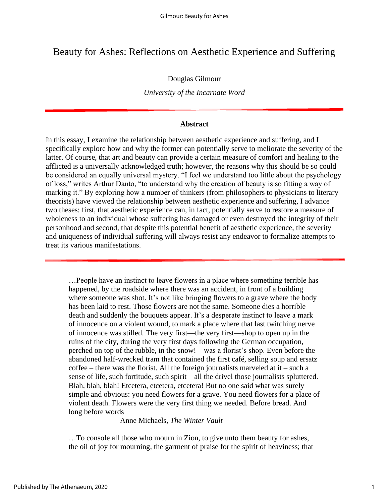### Beauty for Ashes: Reflections on Aesthetic Experience and Suffering

### Douglas Gilmour

*University of the Incarnate Word*

### **Abstract**

In this essay, I examine the relationship between aesthetic experience and suffering, and I specifically explore how and why the former can potentially serve to meliorate the severity of the latter. Of course, that art and beauty can provide a certain measure of comfort and healing to the afflicted is a universally acknowledged truth; however, the reasons why this should be so could be considered an equally universal mystery. "I feel we understand too little about the psychology of loss," writes Arthur Danto, "to understand why the creation of beauty is so fitting a way of marking it." By exploring how a number of thinkers (from philosophers to physicians to literary theorists) have viewed the relationship between aesthetic experience and suffering, I advance two theses: first, that aesthetic experience can, in fact, potentially serve to restore a measure of wholeness to an individual whose suffering has damaged or even destroyed the integrity of their personhood and second, that despite this potential benefit of aesthetic experience, the severity and uniqueness of individual suffering will always resist any endeavor to formalize attempts to treat its various manifestations.

…People have an instinct to leave flowers in a place where something terrible has happened, by the roadside where there was an accident, in front of a building where someone was shot. It's not like bringing flowers to a grave where the body has been laid to rest. Those flowers are not the same. Someone dies a horrible death and suddenly the bouquets appear. It's a desperate instinct to leave a mark of innocence on a violent wound, to mark a place where that last twitching nerve of innocence was stilled. The very first—the very first—shop to open up in the ruins of the city, during the very first days following the German occupation, perched on top of the rubble, in the snow! – was a florist's shop. Even before the abandoned half-wrecked tram that contained the first café, selling soup and ersatz  $\text{cofree}$  – there was the florist. All the foreign journalists marveled at it – such a sense of life, such fortitude, such spirit – all the drivel those journalists spluttered. Blah, blah, blah! Etcetera, etcetera, etcetera! But no one said what was surely simple and obvious: you need flowers for a grave. You need flowers for a place of violent death. Flowers were the very first thing we needed. Before bread. And long before words

– Anne Michaels, *The Winter Vault*

…To console all those who mourn in Zion, to give unto them beauty for ashes, the oil of joy for mourning, the garment of praise for the spirit of heaviness; that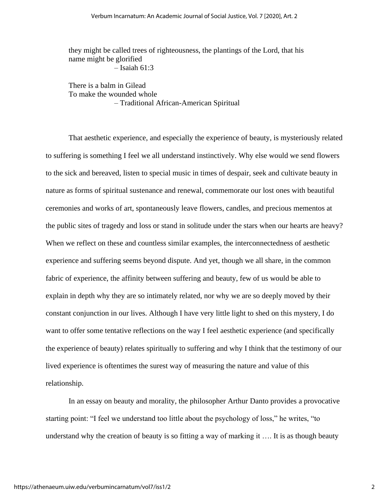they might be called trees of righteousness, the plantings of the Lord, that his name might be glorified – Isaiah 61:3

There is a balm in Gilead To make the wounded whole – Traditional African-American Spiritual

That aesthetic experience, and especially the experience of beauty, is mysteriously related to suffering is something I feel we all understand instinctively. Why else would we send flowers to the sick and bereaved, listen to special music in times of despair, seek and cultivate beauty in nature as forms of spiritual sustenance and renewal, commemorate our lost ones with beautiful ceremonies and works of art, spontaneously leave flowers, candles, and precious mementos at the public sites of tragedy and loss or stand in solitude under the stars when our hearts are heavy? When we reflect on these and countless similar examples, the interconnectedness of aesthetic experience and suffering seems beyond dispute. And yet, though we all share, in the common fabric of experience, the affinity between suffering and beauty, few of us would be able to explain in depth why they are so intimately related, nor why we are so deeply moved by their constant conjunction in our lives. Although I have very little light to shed on this mystery, I do want to offer some tentative reflections on the way I feel aesthetic experience (and specifically the experience of beauty) relates spiritually to suffering and why I think that the testimony of our lived experience is oftentimes the surest way of measuring the nature and value of this relationship.

In an essay on beauty and morality, the philosopher Arthur Danto provides a provocative starting point: "I feel we understand too little about the psychology of loss," he writes, "to understand why the creation of beauty is so fitting a way of marking it …. It is as though beauty

2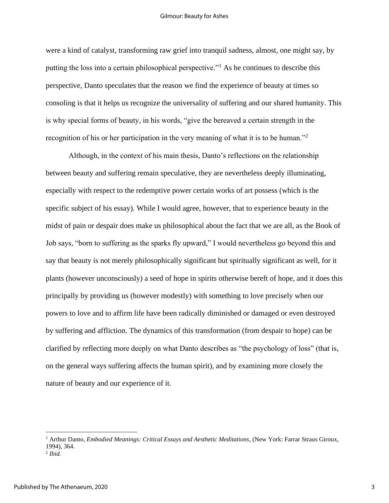#### Gilmour: Beauty for Ashes

were a kind of catalyst, transforming raw grief into tranquil sadness, almost, one might say, by putting the loss into a certain philosophical perspective."<sup>1</sup> As he continues to describe this perspective, Danto speculates that the reason we find the experience of beauty at times so consoling is that it helps us recognize the universality of suffering and our shared humanity. This is why special forms of beauty, in his words, "give the bereaved a certain strength in the recognition of his or her participation in the very meaning of what it is to be human."<sup>2</sup>

Although, in the context of his main thesis, Danto's reflections on the relationship between beauty and suffering remain speculative, they are nevertheless deeply illuminating, especially with respect to the redemptive power certain works of art possess (which is the specific subject of his essay). While I would agree, however, that to experience beauty in the midst of pain or despair does make us philosophical about the fact that we are all, as the Book of Job says, "born to suffering as the sparks fly upward," I would nevertheless go beyond this and say that beauty is not merely philosophically significant but spiritually significant as well, for it plants (however unconsciously) a seed of hope in spirits otherwise bereft of hope, and it does this principally by providing us (however modestly) with something to love precisely when our powers to love and to affirm life have been radically diminished or damaged or even destroyed by suffering and affliction. The dynamics of this transformation (from despair to hope) can be clarified by reflecting more deeply on what Danto describes as "the psychology of loss" (that is, on the general ways suffering affects the human spirit), and by examining more closely the nature of beauty and our experience of it.

<sup>1</sup> Arthur Danto, *Embodied Meanings: Critical Essays and Aesthetic Meditations*, (New York: Farrar Straus Giroux, 1994), 364.

<sup>2</sup> *Ibid.*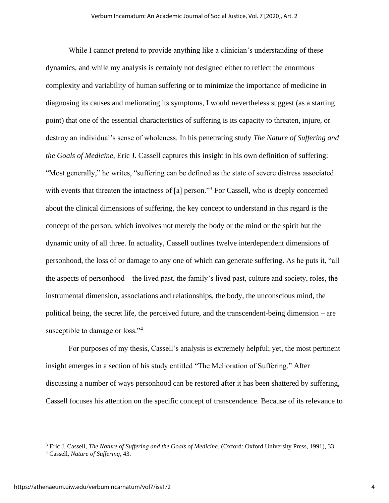While I cannot pretend to provide anything like a clinician's understanding of these dynamics, and while my analysis is certainly not designed either to reflect the enormous complexity and variability of human suffering or to minimize the importance of medicine in diagnosing its causes and meliorating its symptoms, I would nevertheless suggest (as a starting point) that one of the essential characteristics of suffering is its capacity to threaten, injure, or destroy an individual's sense of wholeness. In his penetrating study *The Nature of Suffering and the Goals of Medicine*, Eric J. Cassell captures this insight in his own definition of suffering: "Most generally," he writes, "suffering can be defined as the state of severe distress associated with events that threaten the intactness of [a] person."<sup>3</sup> For Cassell, who *is* deeply concerned about the clinical dimensions of suffering, the key concept to understand in this regard is the concept of the person, which involves not merely the body or the mind or the spirit but the dynamic unity of all three. In actuality, Cassell outlines twelve interdependent dimensions of personhood, the loss of or damage to any one of which can generate suffering. As he puts it, "all the aspects of personhood – the lived past, the family's lived past, culture and society, roles, the instrumental dimension, associations and relationships, the body, the unconscious mind, the political being, the secret life, the perceived future, and the transcendent-being dimension – are susceptible to damage or loss."<sup>4</sup>

For purposes of my thesis, Cassell's analysis is extremely helpful; yet, the most pertinent insight emerges in a section of his study entitled "The Melioration of Suffering." After discussing a number of ways personhood can be restored after it has been shattered by suffering, Cassell focuses his attention on the specific concept of transcendence. Because of its relevance to

<sup>3</sup> Eric J. Cassell, *The Nature of Suffering and the Goals of Medicine*, (Oxford: Oxford University Press, 1991), 33.

<sup>4</sup> Cassell, *Nature of Suffering*, 43.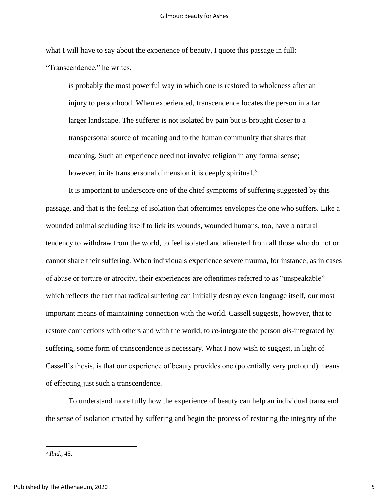what I will have to say about the experience of beauty, I quote this passage in full: "Transcendence," he writes,

is probably the most powerful way in which one is restored to wholeness after an injury to personhood. When experienced, transcendence locates the person in a far larger landscape. The sufferer is not isolated by pain but is brought closer to a transpersonal source of meaning and to the human community that shares that meaning. Such an experience need not involve religion in any formal sense; however, in its transpersonal dimension it is deeply spiritual.<sup>5</sup>

It is important to underscore one of the chief symptoms of suffering suggested by this passage, and that is the feeling of isolation that oftentimes envelopes the one who suffers. Like a wounded animal secluding itself to lick its wounds, wounded humans, too, have a natural tendency to withdraw from the world, to feel isolated and alienated from all those who do not or cannot share their suffering. When individuals experience severe trauma, for instance, as in cases of abuse or torture or atrocity, their experiences are oftentimes referred to as "unspeakable" which reflects the fact that radical suffering can initially destroy even language itself, our most important means of maintaining connection with the world. Cassell suggests, however, that to restore connections with others and with the world, to *re*-integrate the person *dis*-integrated by suffering, some form of transcendence is necessary. What I now wish to suggest, in light of Cassell's thesis, is that our experience of beauty provides one (potentially very profound) means of effecting just such a transcendence.

To understand more fully how the experience of beauty can help an individual transcend the sense of isolation created by suffering and begin the process of restoring the integrity of the

5 *Ibid.*, 45.

5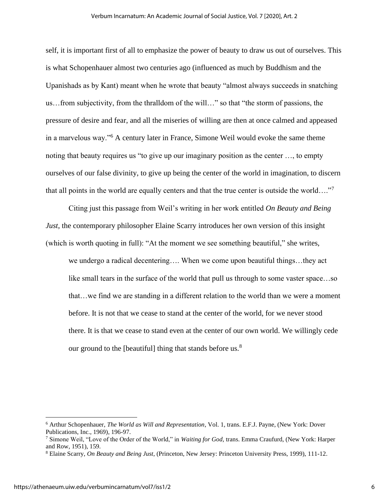self, it is important first of all to emphasize the power of beauty to draw us out of ourselves. This is what Schopenhauer almost two centuries ago (influenced as much by Buddhism and the Upanishads as by Kant) meant when he wrote that beauty "almost always succeeds in snatching us…from subjectivity, from the thralldom of the will…" so that "the storm of passions, the pressure of desire and fear, and all the miseries of willing are then at once calmed and appeased in a marvelous way."<sup>6</sup> A century later in France, Simone Weil would evoke the same theme noting that beauty requires us "to give up our imaginary position as the center …, to empty ourselves of our false divinity, to give up being the center of the world in imagination, to discern that all points in the world are equally centers and that the true center is outside the world…."<sup>7</sup>

Citing just this passage from Weil's writing in her work entitled *On Beauty and Being Just*, the contemporary philosopher Elaine Scarry introduces her own version of this insight (which is worth quoting in full): "At the moment we see something beautiful," she writes, we undergo a radical decentering…. When we come upon beautiful things…they act like small tears in the surface of the world that pull us through to some vaster space…so that…we find we are standing in a different relation to the world than we were a moment before. It is not that we cease to stand at the center of the world, for we never stood there. It is that we cease to stand even at the center of our own world. We willingly cede our ground to the [beautiful] thing that stands before us.<sup>8</sup>

<sup>6</sup> Arthur Schopenhauer, *The World as Will and Representation*, Vol. 1, trans. E.F.J. Payne, (New York: Dover Publications, Inc., 1969), 196-97.

<sup>7</sup> Simone Weil, "Love of the Order of the World," in *Waiting for God*, trans. Emma Craufurd, (New York: Harper and Row, 1951), 159.

<sup>8</sup> Elaine Scarry, *On Beauty and Being Just*, (Princeton, New Jersey: Princeton University Press, 1999), 111-12.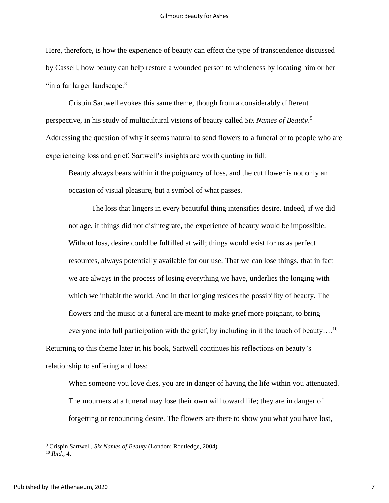Here, therefore, is how the experience of beauty can effect the type of transcendence discussed by Cassell, how beauty can help restore a wounded person to wholeness by locating him or her "in a far larger landscape."

Crispin Sartwell evokes this same theme, though from a considerably different perspective, in his study of multicultural visions of beauty called *Six Names of Beauty*. 9 Addressing the question of why it seems natural to send flowers to a funeral or to people who are experiencing loss and grief, Sartwell's insights are worth quoting in full:

Beauty always bears within it the poignancy of loss, and the cut flower is not only an occasion of visual pleasure, but a symbol of what passes.

The loss that lingers in every beautiful thing intensifies desire. Indeed, if we did not age, if things did not disintegrate, the experience of beauty would be impossible. Without loss, desire could be fulfilled at will; things would exist for us as perfect resources, always potentially available for our use. That we can lose things, that in fact we are always in the process of losing everything we have, underlies the longing with which we inhabit the world. And in that longing resides the possibility of beauty. The flowers and the music at a funeral are meant to make grief more poignant, to bring everyone into full participation with the grief, by including in it the touch of beauty....<sup>10</sup> Returning to this theme later in his book, Sartwell continues his reflections on beauty's relationship to suffering and loss:

When someone you love dies, you are in danger of having the life within you attenuated. The mourners at a funeral may lose their own will toward life; they are in danger of forgetting or renouncing desire. The flowers are there to show you what you have lost,

<sup>9</sup> Crispin Sartwell, *Six Names of Beauty* (London: Routledge, 2004). <sup>10</sup> *Ibid.*, 4.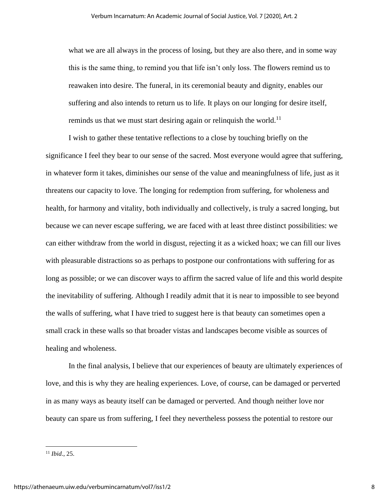what we are all always in the process of losing, but they are also there, and in some way this is the same thing, to remind you that life isn't only loss. The flowers remind us to reawaken into desire. The funeral, in its ceremonial beauty and dignity, enables our suffering and also intends to return us to life. It plays on our longing for desire itself, reminds us that we must start desiring again or relinquish the world.<sup>11</sup>

I wish to gather these tentative reflections to a close by touching briefly on the significance I feel they bear to our sense of the sacred. Most everyone would agree that suffering, in whatever form it takes, diminishes our sense of the value and meaningfulness of life, just as it threatens our capacity to love. The longing for redemption from suffering, for wholeness and health, for harmony and vitality, both individually and collectively, is truly a sacred longing, but because we can never escape suffering, we are faced with at least three distinct possibilities: we can either withdraw from the world in disgust, rejecting it as a wicked hoax; we can fill our lives with pleasurable distractions so as perhaps to postpone our confrontations with suffering for as long as possible; or we can discover ways to affirm the sacred value of life and this world despite the inevitability of suffering. Although I readily admit that it is near to impossible to see beyond the walls of suffering, what I have tried to suggest here is that beauty can sometimes open a small crack in these walls so that broader vistas and landscapes become visible as sources of healing and wholeness.

In the final analysis, I believe that our experiences of beauty are ultimately experiences of love, and this is why they are healing experiences. Love, of course, can be damaged or perverted in as many ways as beauty itself can be damaged or perverted. And though neither love nor beauty can spare us from suffering, I feel they nevertheless possess the potential to restore our

<sup>11</sup> *Ibid*., 25.